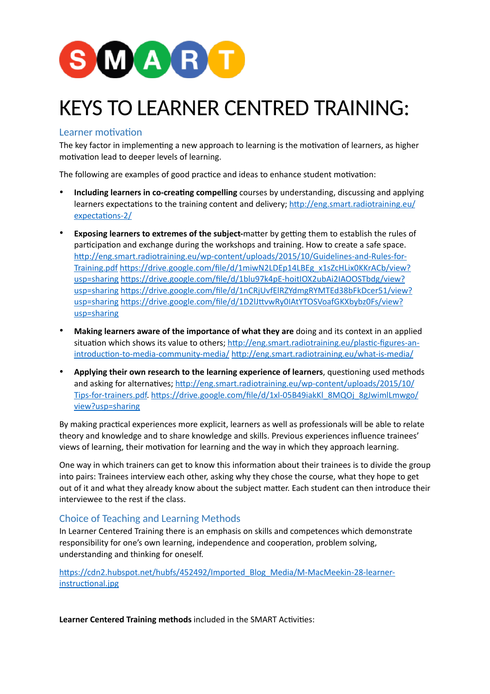

# KEYS TO LEARNER CENTRED TRAINING:

## Learner motivation

The key factor in implementing a new approach to learning is the motivation of learners, as higher motivation lead to deeper levels of learning.

The following are examples of good practice and ideas to enhance student motivation:

- **Including learners in co-creating compelling** courses by understanding, discussing and applying learners expectations to the training content and delivery; [http://eng.smart.radiotraining.eu/](http://eng.smart.radiotraining.eu/expectations-2/) [expectations-2/](http://eng.smart.radiotraining.eu/expectations-2/)
- **Exposing learners to extremes of the subject-**matter by getting them to establish the rules of participation and exchange during the workshops and training. How to create a safe space. [http://eng.smart.radiotraining.eu/wp-content/uploads/2015/10/Guidelines-and-Rules-for-](http://eng.smart.radiotraining.eu/wp-content/uploads/2015/10/Guidelines-and-Rules-for-Training.pdf)[Training.pdf](http://eng.smart.radiotraining.eu/wp-content/uploads/2015/10/Guidelines-and-Rules-for-Training.pdf) [https://drive.google.com/file/d/1miwN2LDEp14LBEg\\_x1sZcHLix0KKrACb/view?](https://drive.google.com/file/d/1miwN2LDEp14LBEg_x1sZcHLix0KKrACb/view?usp=sharing) [usp=sharing](https://drive.google.com/file/d/1miwN2LDEp14LBEg_x1sZcHLix0KKrACb/view?usp=sharing) [https://drive.google.com/file/d/1blu97k4pE-hoitIOX2ubAi2IAOOSTbdg/view?](https://drive.google.com/file/d/1blu97k4pE-hoitIOX2ubAi2IAOOSTbdg/view?usp=sharing) [usp=sharing](https://drive.google.com/file/d/1blu97k4pE-hoitIOX2ubAi2IAOOSTbdg/view?usp=sharing) [https://drive.google.com/file/d/1nCRjUvfElRZYdmgRYMTEd38bFkDcer51/view?](https://drive.google.com/file/d/1nCRjUvfElRZYdmgRYMTEd38bFkDcer51/view?usp=sharing) [usp=sharing](https://drive.google.com/file/d/1nCRjUvfElRZYdmgRYMTEd38bFkDcer51/view?usp=sharing) [https://drive.google.com/file/d/1D2lJttvwRy0IAtYTOSVoafGKXbybz0Fs/view?](https://drive.google.com/file/d/1D2lJttvwRy0IAtYTOSVoafGKXbybz0Fs/view?usp=sharing) [usp=sharing](https://drive.google.com/file/d/1D2lJttvwRy0IAtYTOSVoafGKXbybz0Fs/view?usp=sharing)
- **Making learners aware of the importance of what they are** doing and its context in an applied situation which shows its value to others; [http://eng.smart.radiotraining.eu/plastic-figures-an](http://eng.smart.radiotraining.eu/plastic-figures-an-introduction-to-media-community-media/)[introduction-to-media-community-media/](http://eng.smart.radiotraining.eu/plastic-figures-an-introduction-to-media-community-media/) <http://eng.smart.radiotraining.eu/what-is-media/>
- **Applying their own research to the learning experience of learners**, questioning used methods and asking for alternatives; [http://eng.smart.radiotraining.eu/wp-content/uploads/2015/10/](http://eng.smart.radiotraining.eu/wp-content/uploads/2015/10/Tips-for-trainers.pdf) [Tips-for-trainers.pdf.](http://eng.smart.radiotraining.eu/wp-content/uploads/2015/10/Tips-for-trainers.pdf) [https://drive.google.com/file/d/1xl-05B49iakKl\\_8MQOj\\_8gJwimlLmwgo/](https://drive.google.com/file/d/1xl-05B49iakKl_8MQOj_8gJwimlLmwgo/view?usp=sharing) [view?usp=sharing](https://drive.google.com/file/d/1xl-05B49iakKl_8MQOj_8gJwimlLmwgo/view?usp=sharing)

By making practical experiences more explicit, learners as well as professionals will be able to relate theory and knowledge and to share knowledge and skills. Previous experiences influence trainees' views of learning, their motivation for learning and the way in which they approach learning.

One way in which trainers can get to know this information about their trainees is to divide the group into pairs: Trainees interview each other, asking why they chose the course, what they hope to get out of it and what they already know about the subject matter. Each student can then introduce their interviewee to the rest if the class.

# Choice of Teaching and Learning Methods

In Learner Centered Training there is an emphasis on skills and competences which demonstrate responsibility for one's own learning, independence and cooperation, problem solving, understanding and thinking for oneself.

[https://cdn2.hubspot.net/hubfs/452492/Imported\\_Blog\\_Media/M-MacMeekin-28-learner](https://cdn2.hubspot.net/hubfs/452492/Imported_Blog_Media/M-MacMeekin-28-learner-instructional.jpg)[instructional.jpg](https://cdn2.hubspot.net/hubfs/452492/Imported_Blog_Media/M-MacMeekin-28-learner-instructional.jpg)

**Learner Centered Training methods** included in the SMART Activities: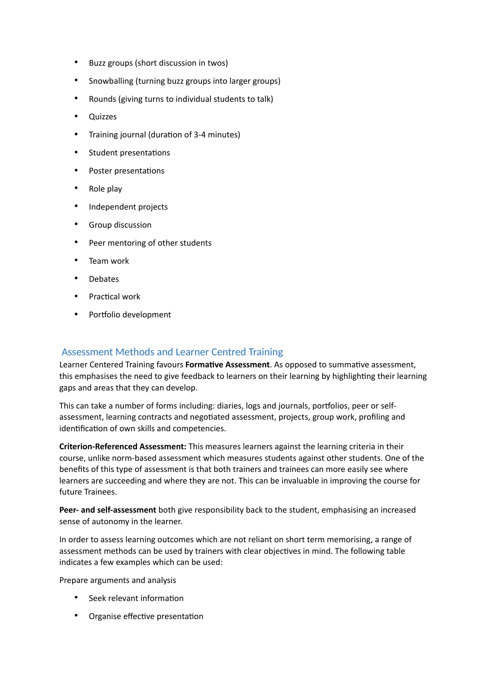- Buzz groups (short discussion in twos)
- Snowballing (turning buzz groups into larger groups)
- Rounds (giving turns to individual students to talk)
- Quizzes
- Training journal (duration of 3-4 minutes)
- Student presentations
- Poster presentations
- Role play
- Independent projects
- Group discussion
- Peer mentoring of other students
- Team work
- **Debates**
- Practical work
- Portfolio development

## Assessment Methods and Learner Centred Training

Learner Centered Training favours **Formative Assessment**. As opposed to summative assessment, this emphasises the need to give feedback to learners on their learning by highlighting their learning gaps and areas that they can develop.

This can take a number of forms including: diaries, logs and journals, portfolios, peer or selfassessment, learning contracts and negotiated assessment, projects, group work, profiling and identification of own skills and competencies.

**Criterion-Referenced Assessment:** This measures learners against the learning criteria in their course, unlike norm-based assessment which measures students against other students. One of the benefits of this type of assessment is that both trainers and trainees can more easily see where learners are succeeding and where they are not. This can be invaluable in improving the course for future Trainees.

**Peer- and self-assessment** both give responsibility back to the student, emphasising an increased sense of autonomy in the learner.

In order to assess learning outcomes which are not reliant on short term memorising, a range of assessment methods can be used by trainers with clear objectives in mind. The following table indicates a few examples which can be used:

Prepare arguments and analysis

- Seek relevant information
- Organise effective presentation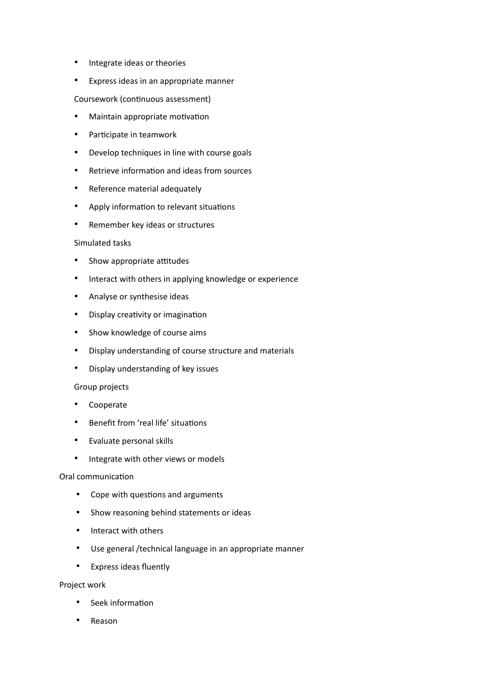- Integrate ideas or theories
- Express ideas in an appropriate manner

Coursework (continuous assessment)

- Maintain appropriate motivation
- Participate in teamwork
- Develop techniques in line with course goals
- Retrieve information and ideas from sources
- Reference material adequately
- Apply information to relevant situations
- Remember key ideas or structures

#### Simulated tasks

- Show appropriate attitudes
- Interact with others in applying knowledge or experience
- Analyse or synthesise ideas
- Display creativity or imagination
- Show knowledge of course aims
- Display understanding of course structure and materials
- Display understanding of key issues

#### Group projects

- **Cooperate**
- Benefit from 'real life' situations
- Evaluate personal skills
- Integrate with other views or models

#### Oral communication

- Cope with questions and arguments
- Show reasoning behind statements or ideas
- Interact with others
- Use general /technical language in an appropriate manner
- Express ideas fluently

#### Project work

- Seek information
- Reason